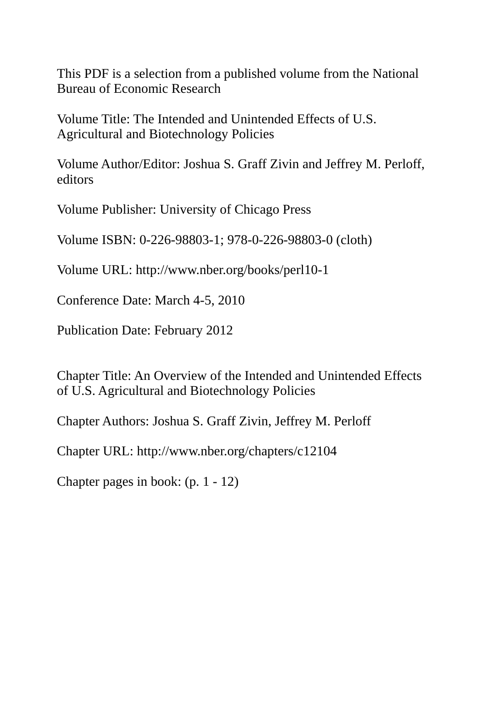This PDF is a selection from a published volume from the National Bureau of Economic Research

Volume Title: The Intended and Unintended Effects of U.S. Agricultural and Biotechnology Policies

Volume Author/Editor: Joshua S. Graff Zivin and Jeffrey M. Perloff, editors

Volume Publisher: University of Chicago Press

Volume ISBN: 0-226-98803-1; 978-0-226-98803-0 (cloth)

Volume URL: http://www.nber.org/books/perl10-1

Conference Date: March 4-5, 2010

Publication Date: February 2012

Chapter Title: An Overview of the Intended and Unintended Effects of U.S. Agricultural and Biotechnology Policies

Chapter Authors: Joshua S. Graff Zivin, Jeffrey M. Perloff

Chapter URL: http://www.nber.org/chapters/c12104

Chapter pages in book: (p. 1 - 12)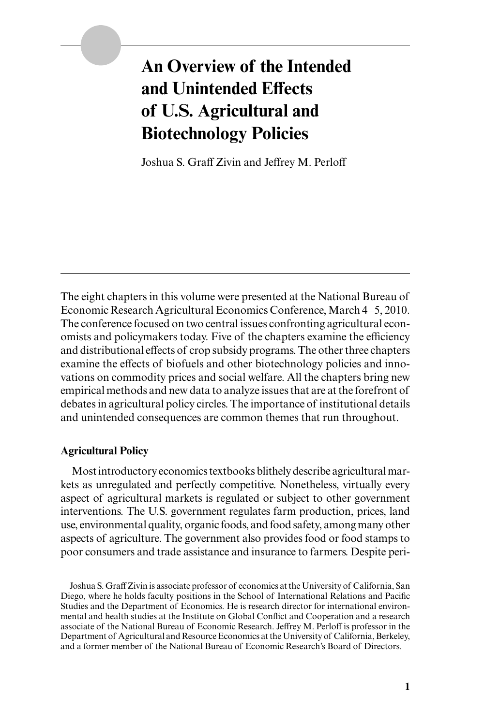# **An Overview of the Intended and Unintended Effects of U.S. Agricultural and Biotechnology Policies**

Joshua S. Graff Zivin and Jeffrey M. Perloff

The eight chapters in this volume were presented at the National Bureau of Economic Research Agricultural Economics Conference, March 4–5, 2010. The conference focused on two central issues confronting agricultural economists and policymakers today. Five of the chapters examine the efficiency and distributional effects of crop subsidy programs. The other three chapters examine the effects of biofuels and other biotechnology policies and innovations on commodity prices and social welfare. All the chapters bring new empirical methods and new data to analyze issues that are at the forefront of debates in agricultural policy circles. The importance of institutional details and unintended consequences are common themes that run throughout.

## **Agricultural Policy**

Most introductory economics textbooks blithely describe agricultural markets as unregulated and perfectly competitive. Nonetheless, virtually every aspect of agricultural markets is regulated or subject to other government interventions. The U.S. government regulates farm production, prices, land use, environmental quality, organic foods, and food safety, among many other aspects of agriculture. The government also provides food or food stamps to poor consumers and trade assistance and insurance to farmers. Despite peri-

Joshua S. Graff Zivin is associate professor of economics at the University of California, San Diego, where he holds faculty positions in the School of International Relations and Pacific Studies and the Department of Economics. He is research director for international environmental and health studies at the Institute on Global Conflict and Cooperation and a research associate of the National Bureau of Economic Research. Jeffrey M. Perloff is professor in the Department of Agricultural and Resource Economics at the University of California, Berkeley, and a former member of the National Bureau of Economic Research's Board of Directors.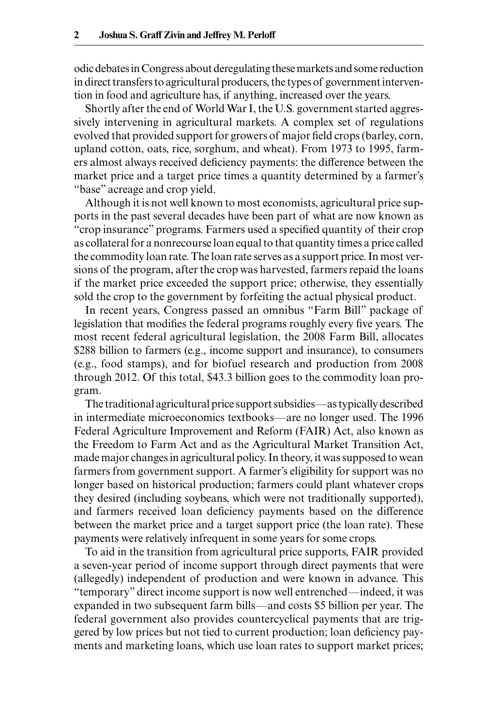odic debates in Congress about deregulating these markets and some reduction in direct transfers to agricultural producers, the types of government intervention in food and agriculture has, if anything, increased over the years.

Shortly after the end of World War I, the U.S. government started aggressively intervening in agricultural markets. A complex set of regulations evolved that provided support for growers of major field crops (barley, corn, upland cotton, oats, rice, sorghum, and wheat). From 1973 to 1995, farmers almost always received deficiency payments: the difference between the market price and a target price times a quantity determined by a farmer's "base" acreage and crop yield.

Although it is not well known to most economists, agricultural price supports in the past several decades have been part of what are now known as "crop insurance" programs. Farmers used a specified quantity of their crop as collateral for a nonrecourse loan equal to that quantity times a price called the commodity loan rate. The loan rate serves as a support price. In most versions of the program, after the crop was harvested, farmers repaid the loans if the market price exceeded the support price; otherwise, they essentially sold the crop to the government by forfeiting the actual physical product.

In recent years, Congress passed an omnibus "Farm Bill" package of legislation that modifies the federal programs roughly every five years. The most recent federal agricultural legislation, the 2008 Farm Bill, allocates \$288 billion to farmers (e.g., income support and insurance), to consumers (e.g., food stamps), and for biofuel research and production from 2008 through 2012. Of this total, \$43.3 billion goes to the commodity loan program.

The traditional agricultural price support subsidies—as typically described in intermediate microeconomics textbooks—are no longer used. The 1996 Federal Agriculture Improvement and Reform (FAIR) Act, also known as the Freedom to Farm Act and as the Agricultural Market Transition Act, made major changes in agricultural policy. In theory, it was supposed to wean farmers from government support. A farmer's eligibility for support was no longer based on historical production; farmers could plant whatever crops they desired (including soybeans, which were not traditionally supported), and farmers received loan deficiency payments based on the difference between the market price and a target support price (the loan rate). These payments were relatively infrequent in some years for some crops.

To aid in the transition from agricultural price supports, FAIR provided a seven- year period of income support through direct payments that were (allegedly) independent of production and were known in advance. This "temporary" direct income support is now well entrenched—indeed, it was expanded in two subsequent farm bills—and costs \$5 billion per year. The federal government also provides countercyclical payments that are triggered by low prices but not tied to current production; loan deficiency payments and marketing loans, which use loan rates to support market prices;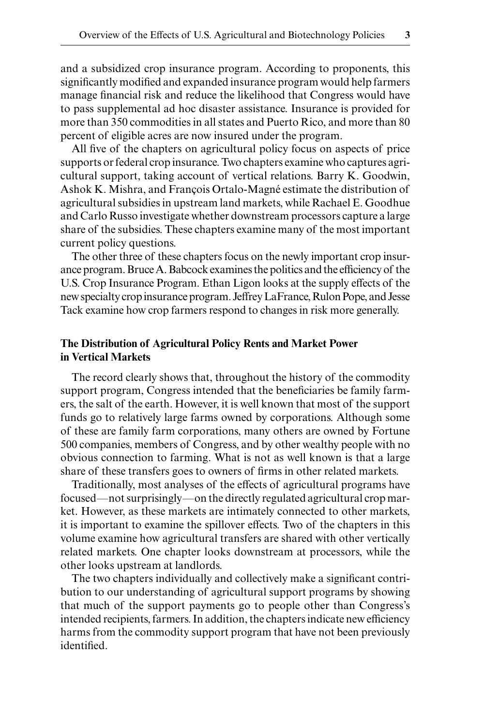and a subsidized crop insurance program. According to proponents, this significantly modified and expanded insurance program would help farmers manage financial risk and reduce the likelihood that Congress would have to pass supplemental ad hoc disaster assistance. Insurance is provided for more than 350 commodities in all states and Puerto Rico, and more than 80 percent of eligible acres are now insured under the program.

All five of the chapters on agricultural policy focus on aspects of price supports or federal crop insurance. Two chapters examine who captures agricultural support, taking account of vertical relations. Barry K. Goodwin, Ashok K. Mishra, and François Ortalo- Magné estimate the distribution of agricultural subsidies in upstream land markets, while Rachael E. Goodhue and Carlo Russo investigate whether downstream processors capture a large share of the subsidies. These chapters examine many of the most important current policy questions.

The other three of these chapters focus on the newly important crop insurance program. Bruce A. Babcock examines the politics and the efficiency of the U.S. Crop Insurance Program. Ethan Ligon looks at the supply effects of the new specialty crop insurance program. Jeffrey LaFrance, Rulon Pope, and Jesse Tack examine how crop farmers respond to changes in risk more generally.

## **The Distribution of Agricultural Policy Rents and Market Power in Vertical Markets**

The record clearly shows that, throughout the history of the commodity support program, Congress intended that the beneficiaries be family farmers, the salt of the earth. However, it is well known that most of the support funds go to relatively large farms owned by corporations. Although some of these are family farm corporations, many others are owned by Fortune 500 companies, members of Congress, and by other wealthy people with no obvious connection to farming. What is not as well known is that a large share of these transfers goes to owners of firms in other related markets.

Traditionally, most analyses of the effects of agricultural programs have focused—not surprisingly—on the directly regulated agricultural crop market. However, as these markets are intimately connected to other markets, it is important to examine the spillover effects. Two of the chapters in this volume examine how agricultural transfers are shared with other vertically related markets. One chapter looks downstream at processors, while the other looks upstream at landlords.

The two chapters individually and collectively make a significant contribution to our understanding of agricultural support programs by showing that much of the support payments go to people other than Congress's intended recipients, farmers. In addition, the chapters indicate new efficiency harms from the commodity support program that have not been previously identified.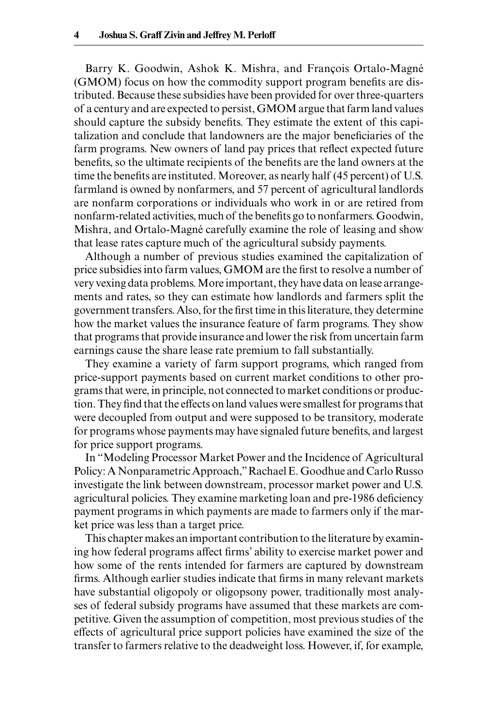Barry K. Goodwin, Ashok K. Mishra, and François Ortalo-Magné (GMOM) focus on how the commodity support program benefits are distributed. Because these subsidies have been provided for over three- quarters of a century and are expected to persist, GMOM argue that farm land values should capture the subsidy benefits. They estimate the extent of this capitalization and conclude that landowners are the major beneficiaries of the farm programs. New owners of land pay prices that reflect expected future benefits, so the ultimate recipients of the benefits are the land owners at the time the benefits are instituted. Moreover, as nearly half (45 percent) of U.S. farmland is owned by nonfarmers, and 57 percent of agricultural landlords are nonfarm corporations or individuals who work in or are retired from nonfarm-related activities, much of the benefits go to nonfarmers. Goodwin, Mishra, and Ortalo-Magné carefully examine the role of leasing and show that lease rates capture much of the agricultural subsidy payments.

Although a number of previous studies examined the capitalization of price subsidies into farm values, GMOM are the first to resolve a number of very vexing data problems. More important, they have data on lease arrangements and rates, so they can estimate how landlords and farmers split the government transfers. Also, for the first time in this literature, they determine how the market values the insurance feature of farm programs. They show that programs that provide insurance and lower the risk from uncertain farm earnings cause the share lease rate premium to fall substantially.

They examine a variety of farm support programs, which ranged from price- support payments based on current market conditions to other programs that were, in principle, not connected to market conditions or production. They find that the effects on land values were smallest for programs that were decoupled from output and were supposed to be transitory, moderate for programs whose payments may have signaled future benefits, and largest for price support programs.

In "Modeling Processor Market Power and the Incidence of Agricultural Policy: A Nonparametric Approach," Rachael E. Goodhue and Carlo Russo investigate the link between downstream, processor market power and U.S. agricultural policies. They examine marketing loan and pre-1986 deficiency payment programs in which payments are made to farmers only if the market price was less than a target price.

This chapter makes an important contribution to the literature by examining how federal programs affect firms' ability to exercise market power and how some of the rents intended for farmers are captured by downstream firms. Although earlier studies indicate that firms in many relevant markets have substantial oligopoly or oligopsony power, traditionally most analyses of federal subsidy programs have assumed that these markets are competitive. Given the assumption of competition, most previous studies of the effects of agricultural price support policies have examined the size of the transfer to farmers relative to the deadweight loss. However, if, for example,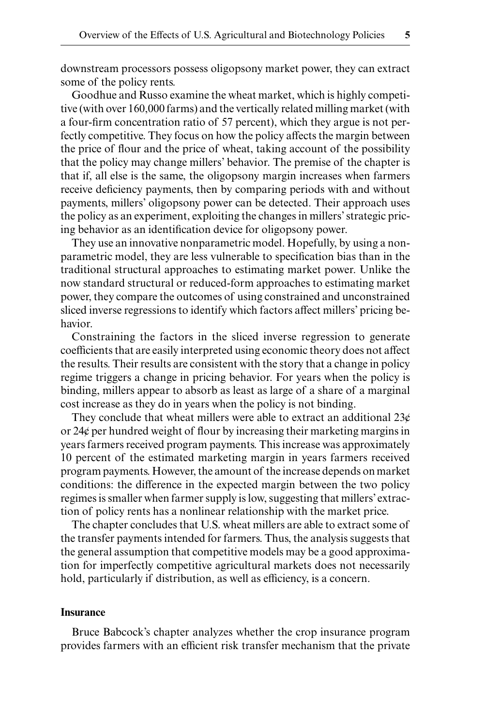downstream processors possess oligopsony market power, they can extract some of the policy rents.

Goodhue and Russo examine the wheat market, which is highly competitive (with over 160,000 farms) and the vertically related milling market (with a four-firm concentration ratio of 57 percent), which they argue is not perfectly competitive. They focus on how the policy affects the margin between the price of flour and the price of wheat, taking account of the possibility that the policy may change millers' behavior. The premise of the chapter is that if, all else is the same, the oligopsony margin increases when farmers receive deficiency payments, then by comparing periods with and without payments, millers' oligopsony power can be detected. Their approach uses the policy as an experiment, exploiting the changes in millers' strategic pricing behavior as an identification device for oligopsony power.

They use an innovative nonparametric model. Hopefully, by using a nonparametric model, they are less vulnerable to specification bias than in the traditional structural approaches to estimating market power. Unlike the now standard structural or reduced- form approaches to estimating market power, they compare the outcomes of using constrained and unconstrained sliced inverse regressions to identify which factors affect millers' pricing behavior.

Constraining the factors in the sliced inverse regression to generate coefficients that are easily interpreted using economic theory does not affect the results. Their results are consistent with the story that a change in policy regime triggers a change in pricing behavior. For years when the policy is binding, millers appear to absorb as least as large of a share of a marginal cost increase as they do in years when the policy is not binding.

They conclude that wheat millers were able to extract an additional  $23¢$ or  $24¢$  per hundred weight of flour by increasing their marketing margins in years farmers received program payments. This increase was approximately 10 percent of the estimated marketing margin in years farmers received program payments. However, the amount of the increase depends on market conditions: the difference in the expected margin between the two policy regimes is smaller when farmer supply is low, suggesting that millers' extraction of policy rents has a nonlinear relationship with the market price.

The chapter concludes that U.S. wheat millers are able to extract some of the transfer payments intended for farmers. Thus, the analysis suggests that the general assumption that competitive models may be a good approximation for imperfectly competitive agricultural markets does not necessarily hold, particularly if distribution, as well as efficiency, is a concern.

#### **Insurance**

Bruce Babcock's chapter analyzes whether the crop insurance program provides farmers with an efficient risk transfer mechanism that the private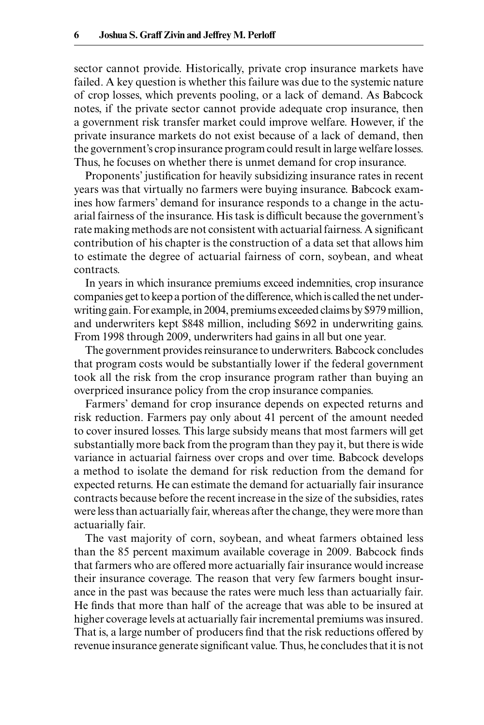sector cannot provide. Historically, private crop insurance markets have failed. A key question is whether this failure was due to the systemic nature of crop losses, which prevents pooling, or a lack of demand. As Babcock notes, if the private sector cannot provide adequate crop insurance, then a government risk transfer market could improve welfare. However, if the private insurance markets do not exist because of a lack of demand, then the government's crop insurance program could result in large welfare losses. Thus, he focuses on whether there is unmet demand for crop insurance.

Proponents' justification for heavily subsidizing insurance rates in recent years was that virtually no farmers were buying insurance. Babcock examines how farmers' demand for insurance responds to a change in the actuarial fairness of the insurance. His task is difficult because the government's rate making methods are not consistent with actuarial fairness. A significant contribution of his chapter is the construction of a data set that allows him to estimate the degree of actuarial fairness of corn, soybean, and wheat contracts.

In years in which insurance premiums exceed indemnities, crop insurance companies get to keep a portion of the difference, which is called the net underwriting gain. For example, in 2004, premiums exceeded claims by \$979 million, and underwriters kept \$848 million, including \$692 in underwriting gains. From 1998 through 2009, underwriters had gains in all but one year.

The government provides reinsurance to underwriters. Babcock concludes that program costs would be substantially lower if the federal government took all the risk from the crop insurance program rather than buying an overpriced insurance policy from the crop insurance companies.

Farmers' demand for crop insurance depends on expected returns and risk reduction. Farmers pay only about 41 percent of the amount needed to cover insured losses. This large subsidy means that most farmers will get substantially more back from the program than they pay it, but there is wide variance in actuarial fairness over crops and over time. Babcock develops a method to isolate the demand for risk reduction from the demand for expected returns. He can estimate the demand for actuarially fair insurance contracts because before the recent increase in the size of the subsidies, rates were less than actuarially fair, whereas after the change, they were more than actuarially fair.

The vast majority of corn, soybean, and wheat farmers obtained less than the 85 percent maximum available coverage in 2009. Babcock finds that farmers who are offered more actuarially fair insurance would increase their insurance coverage. The reason that very few farmers bought insurance in the past was because the rates were much less than actuarially fair. He finds that more than half of the acreage that was able to be insured at higher coverage levels at actuarially fair incremental premiums was insured. That is, a large number of producers find that the risk reductions offered by revenue insurance generate significant value. Thus, he concludes that it is not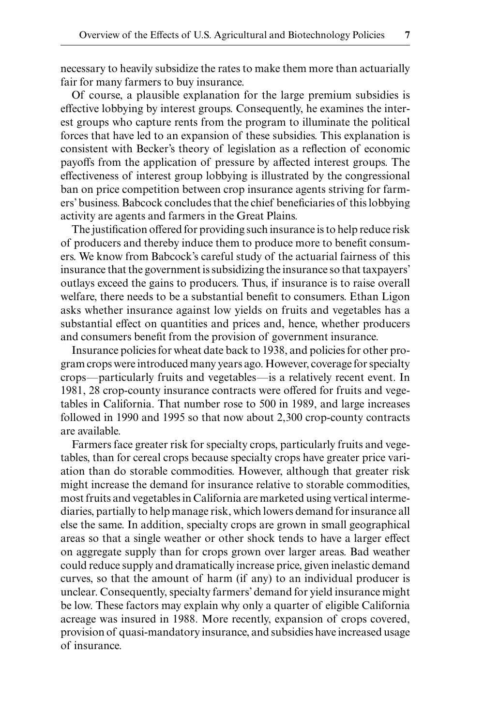necessary to heavily subsidize the rates to make them more than actuarially fair for many farmers to buy insurance.

Of course, a plausible explanation for the large premium subsidies is effective lobbying by interest groups. Consequently, he examines the interest groups who capture rents from the program to illuminate the political forces that have led to an expansion of these subsidies. This explanation is consistent with Becker's theory of legislation as a reflection of economic payoffs from the application of pressure by affected interest groups. The effectiveness of interest group lobbying is illustrated by the congressional ban on price competition between crop insurance agents striving for farmers' business. Babcock concludes that the chief beneficiaries of this lobbying activity are agents and farmers in the Great Plains.

The justification offered for providing such insurance is to help reduce risk of producers and thereby induce them to produce more to benefi t consumers. We know from Babcock's careful study of the actuarial fairness of this insurance that the government is subsidizing the insurance so that taxpayers' outlays exceed the gains to producers. Thus, if insurance is to raise overall welfare, there needs to be a substantial benefit to consumers. Ethan Ligon asks whether insurance against low yields on fruits and vegetables has a substantial effect on quantities and prices and, hence, whether producers and consumers benefit from the provision of government insurance.

Insurance policies for wheat date back to 1938, and policies for other program crops were introduced many years ago. However, coverage for specialty crops—particularly fruits and vegetables—is a relatively recent event. In 1981, 28 crop-county insurance contracts were offered for fruits and vegetables in California. That number rose to 500 in 1989, and large increases followed in 1990 and 1995 so that now about 2,300 crop-county contracts are available.

Farmers face greater risk for specialty crops, particularly fruits and vegetables, than for cereal crops because specialty crops have greater price variation than do storable commodities. However, although that greater risk might increase the demand for insurance relative to storable commodities, most fruits and vegetables in California are marketed using vertical intermediaries, partially to help manage risk, which lowers demand for insurance all else the same. In addition, specialty crops are grown in small geographical areas so that a single weather or other shock tends to have a larger effect on aggregate supply than for crops grown over larger areas. Bad weather could reduce supply and dramatically increase price, given inelastic demand curves, so that the amount of harm (if any) to an individual producer is unclear. Consequently, specialty farmers' demand for yield insurance might be low. These factors may explain why only a quarter of eligible California acreage was insured in 1988. More recently, expansion of crops covered, provision of quasi- mandatory insurance, and subsidies have increased usage of insurance.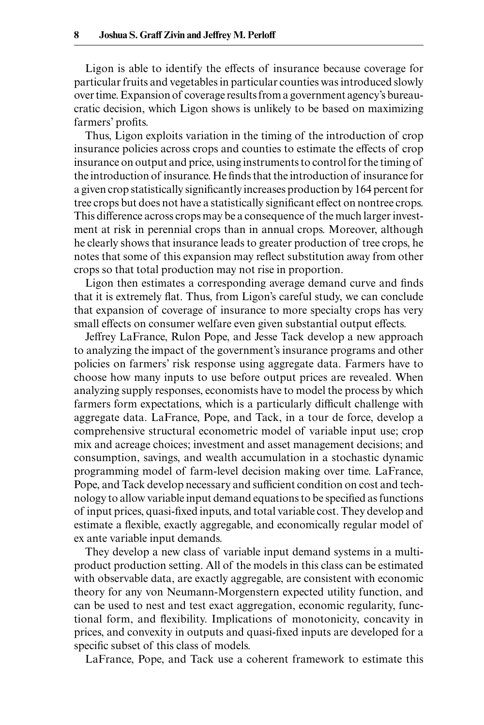Ligon is able to identify the effects of insurance because coverage for particular fruits and vegetables in particular counties was introduced slowly over time. Expansion of coverage results from a government agency's bureaucratic decision, which Ligon shows is unlikely to be based on maximizing farmers' profits.

Thus, Ligon exploits variation in the timing of the introduction of crop insurance policies across crops and counties to estimate the effects of crop insurance on output and price, using instruments to control for the timing of the introduction of insurance. He finds that the introduction of insurance for a given crop statistically significantly increases production by 164 percent for tree crops but does not have a statistically significant effect on nontree crops. This difference across crops may be a consequence of the much larger investment at risk in perennial crops than in annual crops. Moreover, although he clearly shows that insurance leads to greater production of tree crops, he notes that some of this expansion may reflect substitution away from other crops so that total production may not rise in proportion.

Ligon then estimates a corresponding average demand curve and finds that it is extremely flat. Thus, from Ligon's careful study, we can conclude that expansion of coverage of insurance to more specialty crops has very small effects on consumer welfare even given substantial output effects.

Jeffrey LaFrance, Rulon Pope, and Jesse Tack develop a new approach to analyzing the impact of the government's insurance programs and other policies on farmers' risk response using aggregate data. Farmers have to choose how many inputs to use before output prices are revealed. When analyzing supply responses, economists have to model the process by which farmers form expectations, which is a particularly difficult challenge with aggregate data. LaFrance, Pope, and Tack, in a tour de force, develop a comprehensive structural econometric model of variable input use; crop mix and acreage choices; investment and asset management decisions; and consumption, savings, and wealth accumulation in a stochastic dynamic programming model of farm- level decision making over time. LaFrance, Pope, and Tack develop necessary and sufficient condition on cost and technology to allow variable input demand equations to be specified as functions of input prices, quasi-fixed inputs, and total variable cost. They develop and estimate a flexible, exactly aggregable, and economically regular model of ex ante variable input demands.

They develop a new class of variable input demand systems in a multiproduct production setting. All of the models in this class can be estimated with observable data, are exactly aggregable, are consistent with economic theory for any von Neumann-Morgenstern expected utility function, and can be used to nest and test exact aggregation, economic regularity, functional form, and flexibility. Implications of monotonicity, concavity in prices, and convexity in outputs and quasi-fixed inputs are developed for a specific subset of this class of models.

LaFrance, Pope, and Tack use a coherent framework to estimate this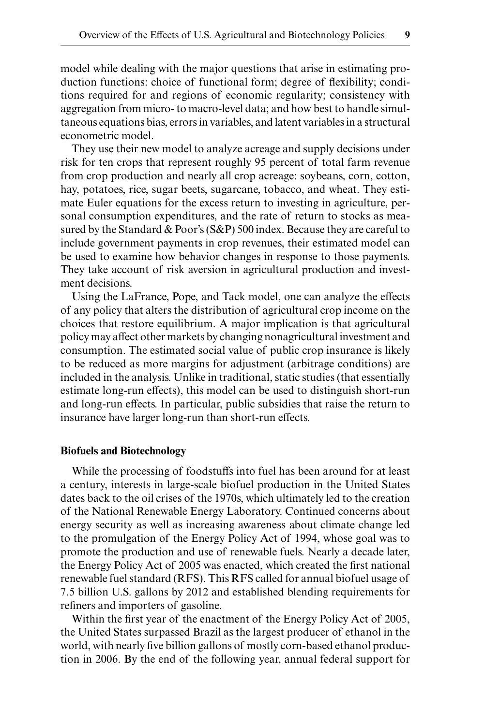model while dealing with the major questions that arise in estimating production functions: choice of functional form; degree of flexibility; conditions required for and regions of economic regularity; consistency with aggregation from micro- to macro- level data; and how best to handle simultaneous equations bias, errors in variables, and latent variables in a structural econometric model.

They use their new model to analyze acreage and supply decisions under risk for ten crops that represent roughly 95 percent of total farm revenue from crop production and nearly all crop acreage: soybeans, corn, cotton, hay, potatoes, rice, sugar beets, sugarcane, tobacco, and wheat. They estimate Euler equations for the excess return to investing in agriculture, personal consumption expenditures, and the rate of return to stocks as measured by the Standard & Poor's (S&P) 500 index. Because they are careful to include government payments in crop revenues, their estimated model can be used to examine how behavior changes in response to those payments. They take account of risk aversion in agricultural production and investment decisions.

Using the LaFrance, Pope, and Tack model, one can analyze the effects of any policy that alters the distribution of agricultural crop income on the choices that restore equilibrium. A major implication is that agricultural policy may affect other markets by changing nonagricultural investment and consumption. The estimated social value of public crop insurance is likely to be reduced as more margins for adjustment (arbitrage conditions) are included in the analysis. Unlike in traditional, static studies (that essentially estimate long-run effects), this model can be used to distinguish short-run and long- run effects. In particular, public subsidies that raise the return to insurance have larger long-run than short-run effects.

#### **Biofuels and Biotechnology**

While the processing of foodstuffs into fuel has been around for at least a century, interests in large- scale biofuel production in the United States dates back to the oil crises of the 1970s, which ultimately led to the creation of the National Renewable Energy Laboratory. Continued concerns about energy security as well as increasing awareness about climate change led to the promulgation of the Energy Policy Act of 1994, whose goal was to promote the production and use of renewable fuels. Nearly a decade later, the Energy Policy Act of 2005 was enacted, which created the first national renewable fuel standard (RFS). This RFS called for annual biofuel usage of 7.5 billion U.S. gallons by 2012 and established blending requirements for refiners and importers of gasoline.

Within the first year of the enactment of the Energy Policy Act of 2005, the United States surpassed Brazil as the largest producer of ethanol in the world, with nearly five billion gallons of mostly corn-based ethanol production in 2006. By the end of the following year, annual federal support for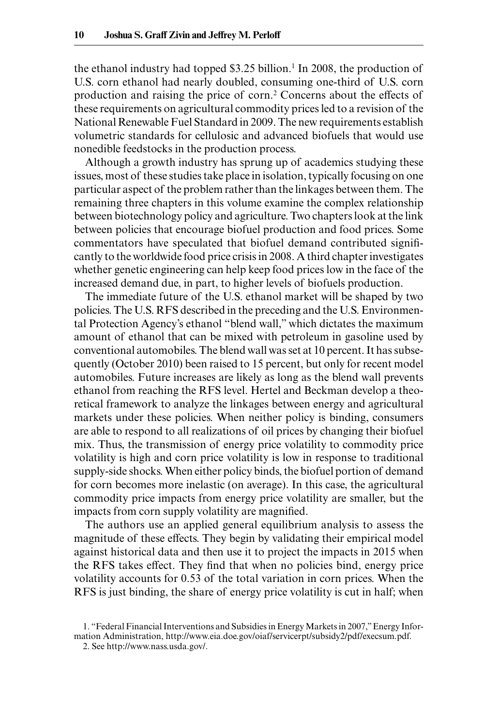the ethanol industry had topped  $$3.25$  billion.<sup>1</sup> In 2008, the production of U.S. corn ethanol had nearly doubled, consuming one- third of U.S. corn production and raising the price of corn.2 Concerns about the effects of these requirements on agricultural commodity prices led to a revision of the National Renewable Fuel Standard in 2009. The new requirements establish volumetric standards for cellulosic and advanced biofuels that would use nonedible feedstocks in the production process.

Although a growth industry has sprung up of academics studying these issues, most of these studies take place in isolation, typically focusing on one particular aspect of the problem rather than the linkages between them. The remaining three chapters in this volume examine the complex relationship between biotechnology policy and agriculture. Two chapters look at the link between policies that encourage biofuel production and food prices. Some commentators have speculated that biofuel demand contributed significantly to the worldwide food price crisis in 2008. A third chapter investigates whether genetic engineering can help keep food prices low in the face of the increased demand due, in part, to higher levels of biofuels production.

The immediate future of the U.S. ethanol market will be shaped by two policies. The U.S. RFS described in the preceding and the U.S. Environmental Protection Agency's ethanol "blend wall," which dictates the maximum amount of ethanol that can be mixed with petroleum in gasoline used by conventional automobiles. The blend wall was set at 10 percent. It has subsequently (October 2010) been raised to 15 percent, but only for recent model automobiles. Future increases are likely as long as the blend wall prevents ethanol from reaching the RFS level. Hertel and Beckman develop a theoretical framework to analyze the linkages between energy and agricultural markets under these policies. When neither policy is binding, consumers are able to respond to all realizations of oil prices by changing their biofuel mix. Thus, the transmission of energy price volatility to commodity price volatility is high and corn price volatility is low in response to traditional supply- side shocks. When either policy binds, the biofuel portion of demand for corn becomes more inelastic (on average). In this case, the agricultural commodity price impacts from energy price volatility are smaller, but the impacts from corn supply volatility are magnified.

The authors use an applied general equilibrium analysis to assess the magnitude of these effects. They begin by validating their empirical model against historical data and then use it to project the impacts in 2015 when the RFS takes effect. They find that when no policies bind, energy price volatility accounts for 0.53 of the total variation in corn prices. When the RFS is just binding, the share of energy price volatility is cut in half; when

<sup>1. &</sup>quot;Federal Financial Interventions and Subsidies in Energy Markets in 2007," Energy Information Administration, http://www.eia.doe.gov/oiaf/servicerpt/subsidy2/pdf/execsum.pdf.

<sup>2.</sup> See http://www.nass.usda.gov/.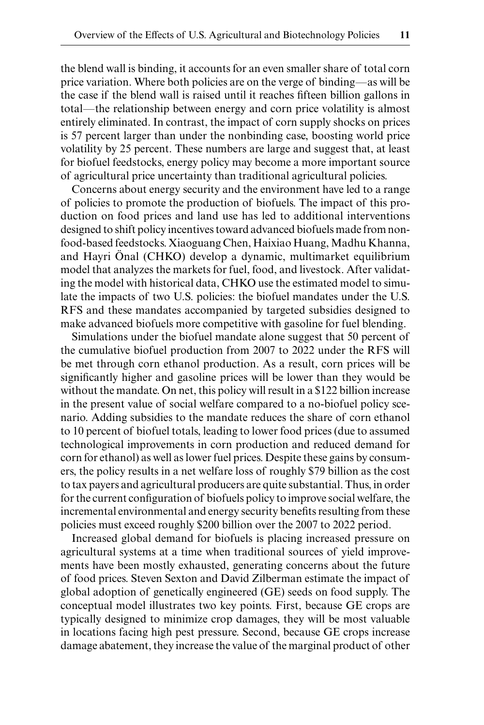the blend wall is binding, it accounts for an even smaller share of total corn price variation. Where both policies are on the verge of binding—as will be the case if the blend wall is raised until it reaches fifteen billion gallons in total—the relationship between energy and corn price volatility is almost entirely eliminated. In contrast, the impact of corn supply shocks on prices is 57 percent larger than under the nonbinding case, boosting world price volatility by 25 percent. These numbers are large and suggest that, at least for biofuel feedstocks, energy policy may become a more important source of agricultural price uncertainty than traditional agricultural policies.

Concerns about energy security and the environment have led to a range of policies to promote the production of biofuels. The impact of this production on food prices and land use has led to additional interventions designed to shift policy incentives toward advanced biofuels made from non food- based feedstocks. Xiaoguang Chen, Haixiao Huang, Madhu Khanna, and Hayri Önal (CHKO) develop a dynamic, multimarket equilibrium model that analyzes the markets for fuel, food, and livestock. After validating the model with historical data, CHKO use the estimated model to simulate the impacts of two U.S. policies: the biofuel mandates under the U.S. RFS and these mandates accompanied by targeted subsidies designed to make advanced biofuels more competitive with gasoline for fuel blending.

Simulations under the biofuel mandate alone suggest that 50 percent of the cumulative biofuel production from 2007 to 2022 under the RFS will be met through corn ethanol production. As a result, corn prices will be significantly higher and gasoline prices will be lower than they would be without the mandate. On net, this policy will result in a \$122 billion increase in the present value of social welfare compared to a no- biofuel policy scenario. Adding subsidies to the mandate reduces the share of corn ethanol to 10 percent of biofuel totals, leading to lower food prices (due to assumed technological improvements in corn production and reduced demand for corn for ethanol) as well as lower fuel prices. Despite these gains by consumers, the policy results in a net welfare loss of roughly \$79 billion as the cost to tax payers and agricultural producers are quite substantial. Thus, in order for the current configuration of biofuels policy to improve social welfare, the incremental environmental and energy security benefits resulting from these policies must exceed roughly \$200 billion over the 2007 to 2022 period.

Increased global demand for biofuels is placing increased pressure on agricultural systems at a time when traditional sources of yield improvements have been mostly exhausted, generating concerns about the future of food prices. Steven Sexton and David Zilberman estimate the impact of global adoption of genetically engineered (GE) seeds on food supply. The conceptual model illustrates two key points. First, because GE crops are typically designed to minimize crop damages, they will be most valuable in locations facing high pest pressure. Second, because GE crops increase damage abatement, they increase the value of the marginal product of other